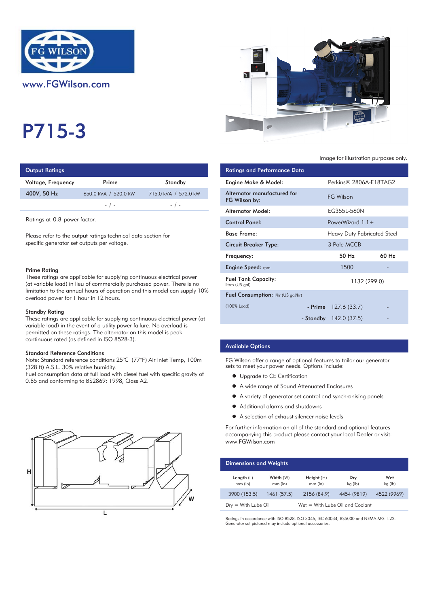

# P715-3

| Output Ratings     |                      | <b>Ratings and Performance Data</b> |                                              |
|--------------------|----------------------|-------------------------------------|----------------------------------------------|
| Voltage, Frequency | Prime                | Standby                             | Engine Make & Model:                         |
| 400V, 50 Hz        | 650.0 kVA / 520.0 kW | 715.0 kVA / 572.0 kW                | Alternator manufactured for<br>FG Wilson by: |
|                    | $-$ / $-$            | $-$ / $-$                           |                                              |
|                    |                      |                                     | والمامسة فالمستور ويستملك                    |

Ratings at 0.8 power factor.

Please refer to the output ratings technical data section for specific generator set outputs per voltage.

#### Prime Rating

These ratings are applicable for supplying continuous electrical power (at variable load) in lieu of commercially purchased power. There is no limitation to the annual hours of operation and this model can supply 10% overload power for 1 hour in 12 hours.

#### Standby Rating

These ratings are applicable for supplying continuous electrical power (at variable load) in the event of a utility power failure. No overload is permitted on these ratings. The alternator on this model is peak continuous rated (as defined in ISO 8528-3).

#### Standard Reference Conditions

Note: Standard reference conditions 25°C (77°F) Air Inlet Temp, 100m (328 ft) A.S.L. 30% relative humidity.

Fuel consumption data at full load with diesel fuel with specific gravity of 0.85 and conforming to BS2869: 1998, Class A2.





#### Image for illustration purposes only.

| <b>Ratings and Performance Data</b>           |                             |       |
|-----------------------------------------------|-----------------------------|-------|
| Engine Make & Model:                          | Perkins® 2806A-E18TAG2      |       |
| Alternator manufactured for<br>FG Wilson by:  | <b>FG Wilson</b>            |       |
| Alternator Model:                             | EG355L-560N                 |       |
| <b>Control Panel:</b>                         | PowerWizard $1.1 +$         |       |
| <b>Base Frame:</b>                            | Heavy Duty Fabricated Steel |       |
| <b>Circuit Breaker Type:</b>                  | 3 Pole MCCB                 |       |
| Frequency:                                    | 50 H <sub>z</sub>           | 60 Hz |
| <b>Engine Speed: rpm</b>                      | 1500                        |       |
| <b>Fuel Tank Capacity:</b><br>litres (US gal) | 1132 (299.0)                |       |
| <b>Fuel Consumption:</b> I/hr (US gal/hr)     |                             |       |
| (100% Load)                                   | - Prime $127.6(33.7)$       |       |
|                                               | - Standby $142.0(37.5)$     |       |

### Available Options

FG Wilson offer a range of optional features to tailor our generator sets to meet your power needs. Options include:

- **•** Upgrade to CE Certification
- A wide range of Sound Attenuated Enclosures
- A variety of generator set control and synchronising panels
- Additional alarms and shutdowns
- A selection of exhaust silencer noise levels

For further information on all of the standard and optional features accompanying this product please contact your local Dealer or visit: www.FGWilson.com

| <b>Dimensions and Weights</b> |                        |                                 |                |                |
|-------------------------------|------------------------|---------------------------------|----------------|----------------|
| Length $(L)$<br>$mm$ (in)     | Width (W)<br>$mm$ (in) | Height(H)<br>$mm$ (in)          | Dry<br>kg (lb) | Wet<br>kg (lb) |
| 3900 (153.5)                  | 1461(57.5)             | 2156 (84.9)                     | 4454 (9819)    | 4522 (9969)    |
| $Drv = With Lube Oil$         |                        | Wet = With Lube Oil and Coolant |                |                |

Ratings in accordance with ISO 8528, ISO 3046, IEC 60034, BS5000 and NEMA MG-1.22. Generator set pictured may include optional accessories.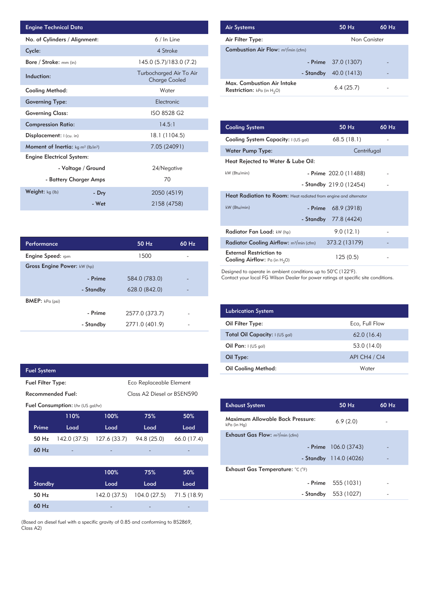| <b>Engine Technical Data</b>                               |                    |                                                 | <b>Air Systems</b>  |
|------------------------------------------------------------|--------------------|-------------------------------------------------|---------------------|
| No. of Cylinders / Alignment:                              |                    | $6/ln$ Line                                     | Air Filter Ty       |
| Cycle:                                                     |                    | 4 Stroke                                        | <b>Combustion</b>   |
| <b>Bore / Stroke:</b> mm (in)                              |                    | 145.0 (5.7)/183.0 (7.2)                         |                     |
| Induction:                                                 |                    | Turbocharged Air To Air<br><b>Charge Cooled</b> | Max. Comb           |
| Cooling Method:                                            |                    | Water                                           | <b>Restriction:</b> |
| <b>Governing Type:</b>                                     |                    | Electronic                                      |                     |
| <b>Governing Class:</b>                                    |                    | ISO 8528 G2                                     |                     |
| <b>Compression Ratio:</b>                                  |                    | 14.5:1                                          | <b>Cooling Sys</b>  |
| Displacement: I (cu. in)                                   |                    | 18.1 (1104.5)                                   | <b>Cooling Sys</b>  |
| Moment of Inertia: kg m <sup>2</sup> (lb/in <sup>2</sup> ) |                    | 7.05 (24091)                                    | Water Pum           |
| <b>Engine Electrical System:</b>                           |                    |                                                 | <b>Heat Reject</b>  |
|                                                            | - Voltage / Ground | 24/Negative                                     |                     |
| - Battery Charger Amps                                     |                    | 70                                              | kW (Btu/min)        |
| <b>Weight:</b> $kg$ (lb)                                   | - Dry              | 2050 (4519)                                     | <b>Heat Radia</b>   |
|                                                            | - Wet              | 2158 (4758)                                     | kW (Btu/min)        |

| <b>Air Systems</b>                                                 | 50 Hz                | 60 Hz |
|--------------------------------------------------------------------|----------------------|-------|
| Air Filter Type:                                                   | Non Canister         |       |
| <b>Combustion Air Flow:</b> m <sup>3</sup> /min (cfm)              |                      |       |
|                                                                    | - Prime $37.0(1307)$ |       |
| - Standby                                                          | 40.0 (1413)          | -     |
| Max. Combustion Air Intake<br><b>Restriction:</b> kPa (in $H_2O$ ) | 6.4(25.7)            |       |

| 14.5:1         | <b>Cooling System</b>                                                     | 50 Hz                   | 60 Hz |
|----------------|---------------------------------------------------------------------------|-------------------------|-------|
| 18.1 (1104.5)  | Cooling System Capacity: I (US gal)                                       | 68.5(18.1)              |       |
| 7.05 (24091)   | Water Pump Type:                                                          | Centrifugal             |       |
|                | Heat Rejected to Water & Lube Oil:                                        |                         |       |
| 24/Negative    | kW (Btu/min)                                                              | - Prime 202.0 (11488)   |       |
| 70             |                                                                           | - Standby 219.0 (12454) |       |
| 2050 (4519)    | <b>Heat Radiation to Room:</b> Heat radiated from engine and alternator   |                         |       |
| 2158 (4758)    | kW (Btu/min)<br>- Prime                                                   | 68.9 (3918)             |       |
|                | - Standby                                                                 | 77.8 (4424)             |       |
|                | Radiator Fan Load: kW (hp)                                                | 9.0(12.1)               |       |
| 60 Hz<br>50 Hz | Radiator Cooling Airflow: m <sup>3</sup> /min (cfm)                       | 373.2 (13179)           |       |
| 1500           | <b>External Restriction to</b><br><b>Cooling Airflow:</b> Pa (in $H_2O$ ) | 125(0.5)                |       |

Designed to operate in ambient conditions up to 50°C (122°F).

Contact your local FG Wilson Dealer for power ratings at specific site conditions.

| <b>Lubrication System</b>      |                |
|--------------------------------|----------------|
| Oil Filter Type:               | Eco, Full Flow |
| Total Oil Capacity: I (US gal) | 62.0(16.4)     |
| Oil Pan: $(US gal)$            | 53.0 (14.0)    |
| Oil Type:                      | API CH4 / CI4  |
| Oil Cooling Method:            | Water          |

| <b>Exhaust System</b>                           | $50$ Hz                 | 60 Hz |
|-------------------------------------------------|-------------------------|-------|
| Maximum Allowable Back Pressure:<br>kPa (in Hg) | 6.9(2.0)                |       |
| <b>Exhaust Gas Flow:</b> $m^3/m$ in (cfm)       |                         |       |
|                                                 | - Prime $106.0(3743)$   |       |
|                                                 | - Standby $114.0(4026)$ |       |
| Exhaust Gas Temperature: °C (°F)                |                         |       |
|                                                 | $-$ Prime 555 (1031)    |       |
|                                                 | - Standby 553 (1027)    |       |
|                                                 |                         |       |

| Performance                 |           | 50 Hz          | 60 Hz |  |
|-----------------------------|-----------|----------------|-------|--|
| <b>Engine Speed:</b> rpm    |           | 1500           |       |  |
| Gross Engine Power: kW (hp) |           |                |       |  |
|                             | - Prime   | 584.0 (783.0)  |       |  |
|                             | - Standby | 628.0 (842.0)  |       |  |
| BMEP: kPa (psi)             |           |                |       |  |
|                             | - Prime   | 2577.0 (373.7) |       |  |
|                             | - Standby | 2771.0 (401.9) |       |  |

| <b>Fuel System</b>       |                                           |              |                            |             |
|--------------------------|-------------------------------------------|--------------|----------------------------|-------------|
| <b>Fuel Filter Type:</b> |                                           |              | Eco Replaceable Element    |             |
| Recommended Fuel:        |                                           |              | Class A2 Diesel or BSEN590 |             |
|                          | <b>Fuel Consumption:</b> I/hr (US gal/hr) |              |                            |             |
|                          | 110%                                      | 100%         | 75%                        | 50%         |
| Prime                    | Load                                      | Load         | Load                       | Load        |
| 50 Hz                    | 142.0 (37.5)                              | 127.6 (33.7) | 94.8 (25.0)                | 66.0 (17.4) |
| 60 Hz                    |                                           |              |                            |             |
|                          |                                           |              |                            |             |
|                          |                                           | 100%         | 75%                        | 50%         |
| <b>Standby</b>           |                                           | Load         | Load                       | Load        |
| 50 Hz                    |                                           | 142.0 (37.5) | 104.0 (27.5)               | 71.5 (18.9) |
| 60 Hz                    |                                           |              |                            |             |

(Based on diesel fuel with a specific gravity of 0.85 and conforming to BS2869, Class A2)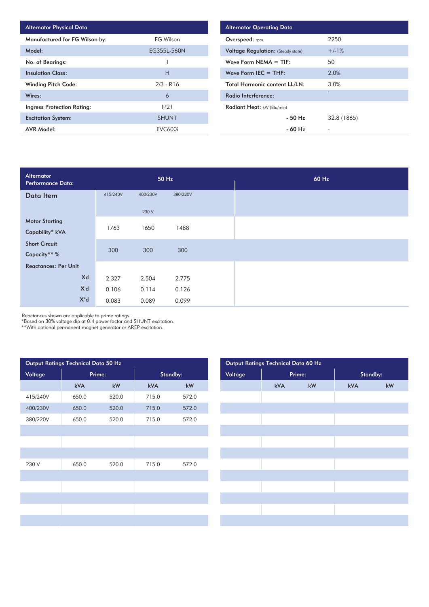| <b>Alternator Physical Data</b>   |                |  |  |
|-----------------------------------|----------------|--|--|
| Manufactured for FG Wilson by:    | FG Wilson      |  |  |
| Model:                            | EG355L-560N    |  |  |
| No. of Bearings:                  |                |  |  |
| <b>Insulation Class:</b>          | н              |  |  |
| <b>Winding Pitch Code:</b>        | $2/3 - R16$    |  |  |
| Wires:                            | 6              |  |  |
| <b>Ingress Protection Rating:</b> | IP21           |  |  |
| <b>Excitation System:</b>         | <b>SHUNT</b>   |  |  |
| AVR Model:                        | <b>EVC600i</b> |  |  |

| <b>Alternator Operating Data</b>          |             |  |  |
|-------------------------------------------|-------------|--|--|
| Overspeed: rpm                            | 2250        |  |  |
| <b>Voltage Regulation:</b> (Steady state) | $+/-1%$     |  |  |
| Wave Form $NEMA = TIF:$                   | 50          |  |  |
| Wave Form IEC $=$ THF:                    | 2.0%        |  |  |
| <b>Total Harmonic content LL/LN:</b>      | 3.0%        |  |  |
| Radio Interference:                       | ٠           |  |  |
| Radiant Heat: kW (Btu/min)                |             |  |  |
| - 50 Hz                                   | 32.8 (1865) |  |  |
| $-60$ Hz                                  |             |  |  |

| Alternator<br>Performance Data: |          | 50 Hz    |          | 60 Hz |
|---------------------------------|----------|----------|----------|-------|
| Data Item                       | 415/240V | 400/230V | 380/220V |       |
|                                 |          | 230 V    |          |       |
| <b>Motor Starting</b>           | 1763     | 1650     | 1488     |       |
| Capability* kVA                 |          |          |          |       |
| <b>Short Circuit</b>            |          |          |          |       |
| Capacity** %                    | 300      | 300      | 300      |       |
| <b>Reactances: Per Unit</b>     |          |          |          |       |
| Xd                              | 2.327    | 2.504    | 2.775    |       |
| X'd                             | 0.106    | 0.114    | 0.126    |       |
| $X^{\mathsf{H}}$ d              | 0.083    | 0.089    | 0.099    |       |

Reactances shown are applicable to prime ratings.

\*Based on 30% voltage dip at 0.4 power factor and SHUNT excitation.

\*\*With optional permanent magnet generator or AREP excitation.

| Output Ratings Technical Data 50 Hz |       |                        |       |          |  |
|-------------------------------------|-------|------------------------|-------|----------|--|
| Voltage                             |       | Prime:                 |       | Standby: |  |
|                                     | kVA   | $\mathsf{k}\mathsf{W}$ | kVA   | kW       |  |
| 415/240V                            | 650.0 | 520.0                  | 715.0 | 572.0    |  |
| 400/230V                            | 650.0 | 520.0                  | 715.0 | 572.0    |  |
| 380/220V                            | 650.0 | 520.0                  | 715.0 | 572.0    |  |
|                                     |       |                        |       |          |  |
|                                     |       |                        |       |          |  |
|                                     |       |                        |       |          |  |
| 230 V                               | 650.0 | 520.0                  | 715.0 | 572.0    |  |
|                                     |       |                        |       |          |  |
|                                     |       |                        |       |          |  |
|                                     |       |                        |       |          |  |
|                                     |       |                        |       |          |  |
|                                     |       |                        |       |          |  |
|                                     |       |                        |       |          |  |